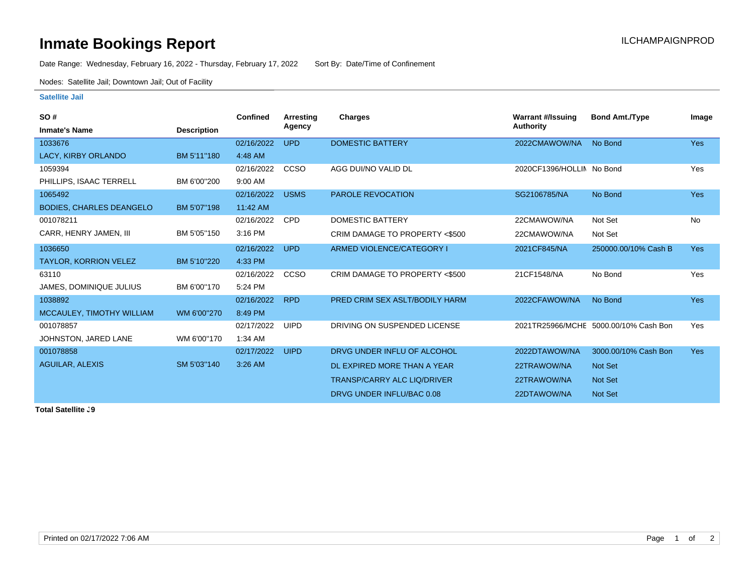## **Inmate Bookings Report Installation ILCHAMPAIGNPROD**

Date Range: Wednesday, February 16, 2022 - Thursday, February 17, 2022 Sort By: Date/Time of Confinement

Nodes: Satellite Jail; Downtown Jail; Out of Facility

## **Satellite Jail**

| <b>Confined</b> | Arresting   | Charges                            | <b>Warrant #/Issuing</b> | <b>Bond Amt./Type</b> | Image                                                              |
|-----------------|-------------|------------------------------------|--------------------------|-----------------------|--------------------------------------------------------------------|
|                 |             |                                    |                          |                       |                                                                    |
| 02/16/2022      | <b>UPD</b>  | <b>DOMESTIC BATTERY</b>            | 2022CMAWOW/NA            | No Bond               | <b>Yes</b>                                                         |
| 4:48 AM         |             |                                    |                          |                       |                                                                    |
| 02/16/2022      | CCSO        | AGG DUI/NO VALID DL                |                          |                       | Yes                                                                |
| 9:00 AM         |             |                                    |                          |                       |                                                                    |
| 02/16/2022      | <b>USMS</b> | <b>PAROLE REVOCATION</b>           | SG2106785/NA             | No Bond               | <b>Yes</b>                                                         |
| 11:42 AM        |             |                                    |                          |                       |                                                                    |
| 02/16/2022      | <b>CPD</b>  | DOMESTIC BATTERY                   | 22CMAWOW/NA              | Not Set               | No                                                                 |
| 3:16 PM         |             | CRIM DAMAGE TO PROPERTY <\$500     | 22CMAWOW/NA              | Not Set               |                                                                    |
| 02/16/2022      | <b>UPD</b>  | ARMED VIOLENCE/CATEGORY I          | 2021CF845/NA             | 250000.00/10% Cash B  | <b>Yes</b>                                                         |
| 4:33 PM         |             |                                    |                          |                       |                                                                    |
| 02/16/2022      | CCSO        | CRIM DAMAGE TO PROPERTY <\$500     | 21CF1548/NA              | No Bond               | Yes                                                                |
| 5:24 PM         |             |                                    |                          |                       |                                                                    |
| 02/16/2022      | <b>RPD</b>  | PRED CRIM SEX ASLT/BODILY HARM     | 2022CFAWOW/NA            | No Bond               | <b>Yes</b>                                                         |
| 8:49 PM         |             |                                    |                          |                       |                                                                    |
| 02/17/2022      | <b>UIPD</b> | DRIVING ON SUSPENDED LICENSE       |                          |                       | Yes                                                                |
| 1:34 AM         |             |                                    |                          |                       |                                                                    |
| 02/17/2022      | <b>UIPD</b> | DRVG UNDER INFLU OF ALCOHOL        | 2022DTAWOW/NA            | 3000.00/10% Cash Bon  | <b>Yes</b>                                                         |
| 3:26 AM         |             | DL EXPIRED MORE THAN A YEAR        | 22TRAWOW/NA              | Not Set               |                                                                    |
|                 |             | <b>TRANSP/CARRY ALC LIQ/DRIVER</b> | 22TRAWOW/NA              | Not Set               |                                                                    |
|                 |             | DRVG UNDER INFLU/BAC 0.08          | 22DTAWOW/NA              | Not Set               |                                                                    |
|                 |             | Agency                             |                          | <b>Authority</b>      | 2020CF1396/HOLLIN No Bond<br>2021TR25966/MCHE 5000.00/10% Cash Bon |

**Total Satellite J9**